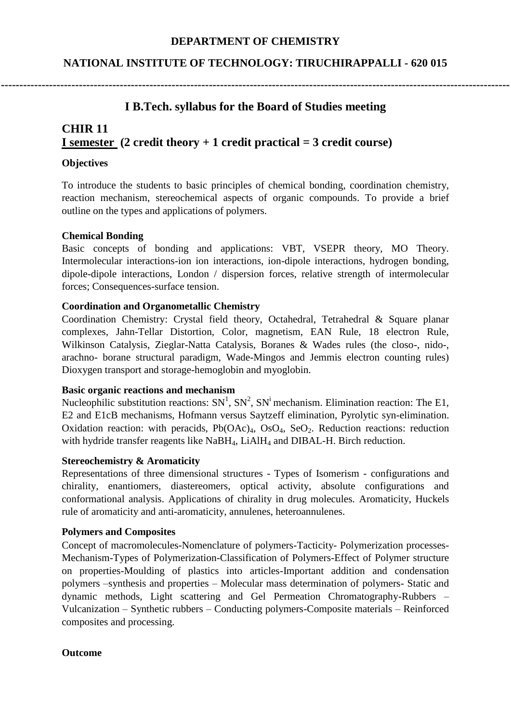## **DEPARTMENT OF CHEMISTRY**

## **NATIONAL INSTITUTE OF TECHNOLOGY: TIRUCHIRAPPALLI - 620 015**

**-----------------------------------------------------------------------------------------------------------------------------------------**

# **I B.Tech. syllabus for the Board of Studies meeting**

# **CHIR 11 I semester (2 credit theory + 1 credit practical = 3 credit course)**

#### **Objectives**

To introduce the students to basic principles of chemical bonding, coordination chemistry, reaction mechanism, stereochemical aspects of organic compounds. To provide a brief outline on the types and applications of polymers.

#### **Chemical Bonding**

Basic concepts of bonding and applications: VBT, VSEPR theory, MO Theory. Intermolecular interactions-ion ion interactions, ion-dipole interactions, hydrogen bonding, dipole-dipole interactions, London / dispersion forces, relative strength of intermolecular forces; Consequences-surface tension.

## **Coordination and Organometallic Chemistry**

Coordination Chemistry: Crystal field theory, Octahedral, Tetrahedral & Square planar complexes, Jahn-Tellar Distortion, Color, magnetism, EAN Rule, 18 electron Rule, Wilkinson Catalysis, Zieglar-Natta Catalysis, Boranes & Wades rules (the closo-, nido-, arachno- borane structural paradigm, Wade-Mingos and Jemmis electron counting rules) Dioxygen transport and storage-hemoglobin and myoglobin.

#### **Basic organic reactions and mechanism**

Nucleophilic substitution reactions:  $SN^1$ ,  $SN^2$ ,  $SN^i$  mechanism. Elimination reaction: The E1, E2 and E1cB mechanisms, Hofmann versus Saytzeff elimination, Pyrolytic syn-elimination. Oxidation reaction: with peracids,  $Pb(OAc)<sub>4</sub>$ ,  $OsO<sub>4</sub>$ ,  $SeO<sub>2</sub>$ . Reduction reactions: reduction with hydride transfer reagents like NaBH<sub>4</sub>, LiAlH<sub>4</sub> and DIBAL-H. Birch reduction.

#### **Stereochemistry & Aromaticity**

Representations of three dimensional structures - Types of Isomerism - configurations and chirality, enantiomers, diastereomers, optical activity, absolute configurations and conformational analysis. Applications of chirality in drug molecules. Aromaticity, Huckels rule of aromaticity and anti-aromaticity, annulenes, heteroannulenes.

#### **Polymers and Composites**

Concept of macromolecules-Nomenclature of polymers-Tacticity- Polymerization processes-Mechanism-Types of Polymerization-Classification of Polymers-Effect of Polymer structure on properties-Moulding of plastics into articles-Important addition and condensation polymers –synthesis and properties – Molecular mass determination of polymers- Static and dynamic methods, Light scattering and Gel Permeation Chromatography-Rubbers – Vulcanization – Synthetic rubbers – Conducting polymers-Composite materials – Reinforced composites and processing.

#### **Outcome**